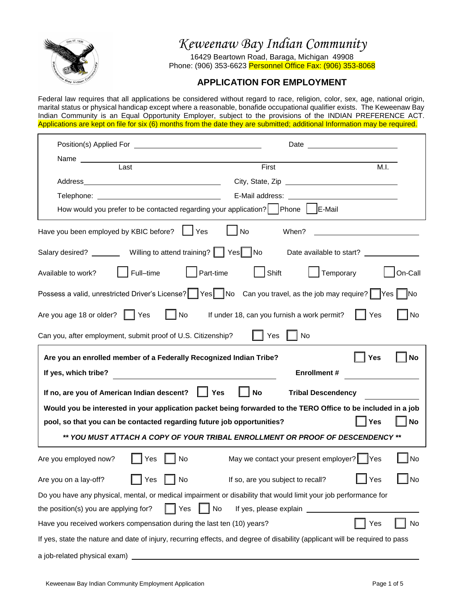

 $\mathsf{r}$ 

*Keweenaw Bay Indian Community*

16429 Beartown Road, Baraga, Michigan 49908 Phone: (906) 353-6623 Personnel Office Fax: (906) 353-8068

# **APPLICATION FOR EMPLOYMENT**

Federal law requires that all applications be considered without regard to race, religion, color, sex, age, national origin, marital status or physical handicap except where a reasonable, bonafide occupational qualifier exists. The Keweenaw Bay Indian Community is an Equal Opportunity Employer, subject to the provisions of the INDIAN PREFERENCE ACT. Applications are kept on file for six (6) months from the date they are submitted; additional Information may be required.

| Position(s) Applied For <b>contract to the contract of the contract of the contract of the contract of the contract of the contract of the contract of the contract of the contract of the contract of the contract of the contr</b> |                                             |                  |
|--------------------------------------------------------------------------------------------------------------------------------------------------------------------------------------------------------------------------------------|---------------------------------------------|------------------|
| Name                                                                                                                                                                                                                                 |                                             |                  |
| Last                                                                                                                                                                                                                                 | First                                       | M.I.             |
|                                                                                                                                                                                                                                      |                                             |                  |
|                                                                                                                                                                                                                                      |                                             |                  |
| How would you prefer to be contacted regarding your application?   Phone   E-Mail                                                                                                                                                    |                                             |                  |
| Have you been employed by KBIC before?<br>Yes                                                                                                                                                                                        | No<br>When?                                 |                  |
| Salary desired? _________ Willing to attend training?   Yes   No Date available to start? _________                                                                                                                                  |                                             |                  |
| $\Box$ Part-time<br>Full-time<br>Available to work?                                                                                                                                                                                  | Shift<br>Temporary                          | On-Call          |
| Possess a valid, unrestricted Driver's License?   Yes   No Can you travel, as the job may require?   Yes                                                                                                                             |                                             | $\Box$ No        |
| Are you age 18 or older?   Yes<br>$\vert$ $\vert$ No                                                                                                                                                                                 | If under 18, can you furnish a work permit? | $ $ No<br>Yes    |
| Can you, after employment, submit proof of U.S. Citizenship?                                                                                                                                                                         | │ Yes<br>No                                 |                  |
| Are you an enrolled member of a Federally Recognized Indian Tribe?                                                                                                                                                                   |                                             | Yes<br><b>No</b> |
| If yes, which tribe?                                                                                                                                                                                                                 | <b>Enrollment #</b>                         |                  |
| If no, are you of American Indian descent?<br><b>Yes</b>                                                                                                                                                                             | $ $ No<br><b>Tribal Descendency</b>         |                  |
| Would you be interested in your application packet being forwarded to the TERO Office to be included in a job                                                                                                                        |                                             |                  |
| pool, so that you can be contacted regarding future job opportunities?                                                                                                                                                               |                                             | <b>No</b><br>Yes |
| ** YOU MUST ATTACH A COPY OF YOUR TRIBAL ENROLLMENT OR PROOF OF DESCENDENCY **                                                                                                                                                       |                                             |                  |
| Are you employed now?<br>No<br>Yes                                                                                                                                                                                                   | May we contact your present employer?   Yes | No               |
| Are you on a lay-off?<br>Yes<br>$\vert$ $\vert$ No                                                                                                                                                                                   | If so, are you subject to recall?           | $]$ Yes<br>_l No |
| Do you have any physical, mental, or medical impairment or disability that would limit your job performance for                                                                                                                      |                                             |                  |
| No<br>the position(s) you are applying for?<br>Yes                                                                                                                                                                                   | If yes, please explain _____                |                  |
| Have you received workers compensation during the last ten (10) years?                                                                                                                                                               |                                             | Yes<br>No        |
| If yes, state the nature and date of injury, recurring effects, and degree of disability (applicant will be required to pass                                                                                                         |                                             |                  |
| a job-related physical exam)                                                                                                                                                                                                         |                                             |                  |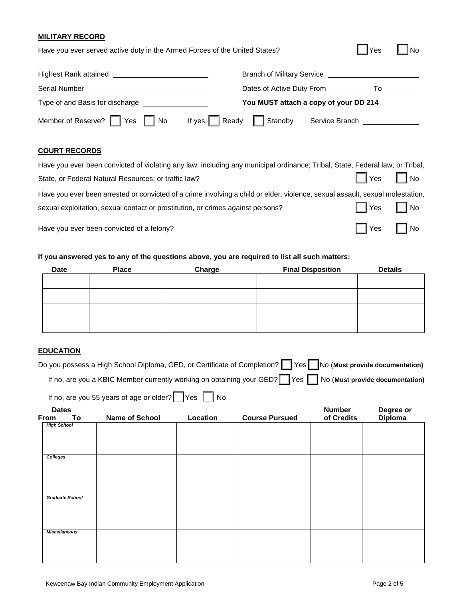#### **MILITARY RECORD**

| Have you ever served active duty in the Armed Forces of the United States? |                                                      |       | <b>No</b> |
|----------------------------------------------------------------------------|------------------------------------------------------|-------|-----------|
|                                                                            |                                                      |       |           |
| <b>Serial Number</b>                                                       | Dates of Active Duty From                            | To To |           |
|                                                                            | You MUST attach a copy of your DD 214                |       |           |
| Member of Reserve?<br>Yes<br>l No                                          | Ready<br>Standby<br>If yes, $\Box$<br>Service Branch |       |           |

### **COURT RECORDS**

| Have you ever been convicted of violating any law, including any municipal ordinance; Tribal, State, Federal law; or Tribal,  |                      |  |
|-------------------------------------------------------------------------------------------------------------------------------|----------------------|--|
| State, or Federal Natural Resources; or traffic law?                                                                          | $\Box$ Yes $\Box$ No |  |
| Have you ever been arrested or convicted of a crime involving a child or elder, violence, sexual assault, sexual molestation, |                      |  |
| sexual exploitation, sexual contact or prostitution, or crimes against persons?                                               | $\Box$ Yes $\Box$ No |  |
| Have you ever been convicted of a felony?                                                                                     | $\Box$ Yes $\Box$ No |  |

## **If you answered yes to any of the questions above, you are required to list all such matters:**

| Date | <b>Place</b> | Charge | <b>Final Disposition</b> | <b>Details</b> |
|------|--------------|--------|--------------------------|----------------|
|      |              |        |                          |                |
|      |              |        |                          |                |
|      |              |        |                          |                |
|      |              |        |                          |                |
|      |              |        |                          |                |

### **EDUCATION**

| Do you possess a High School Diploma, GED, or Certificate of Completion?   Yes No (Must provide documentation) |  |
|----------------------------------------------------------------------------------------------------------------|--|
| If no, are you a KBIC Member currently working on obtaining your GED? Yes No (Must provide documentation)      |  |

If no, are you 55 years of age or older?  $\Box$  Yes  $\Box$  No

| <b>Dates</b><br>From | To              | Name of School | Location | <b>Course Pursued</b> | Number<br>of Credits | Degree or<br>Diploma |
|----------------------|-----------------|----------------|----------|-----------------------|----------------------|----------------------|
| <b>High School</b>   |                 |                |          |                       |                      |                      |
| Colleges             |                 |                |          |                       |                      |                      |
|                      |                 |                |          |                       |                      |                      |
|                      |                 |                |          |                       |                      |                      |
|                      | Graduate School |                |          |                       |                      |                      |
|                      |                 |                |          |                       |                      |                      |
| <b>Miscellaneous</b> |                 |                |          |                       |                      |                      |
|                      |                 |                |          |                       |                      |                      |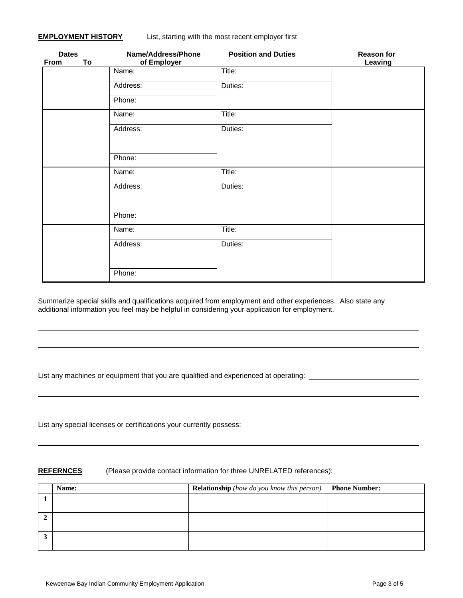| <b>Dates</b><br>To<br><b>From</b> |  | Name/Address/Phone<br>of Employer | <b>Position and Duties</b> | <b>Reason for</b><br>Leaving |  |
|-----------------------------------|--|-----------------------------------|----------------------------|------------------------------|--|
|                                   |  | Name:                             | Title:                     |                              |  |
|                                   |  | Address:                          | Duties:                    |                              |  |
|                                   |  | Phone:                            |                            |                              |  |
|                                   |  | Name:                             | Title:                     |                              |  |
|                                   |  | Address:                          | Duties:                    |                              |  |
|                                   |  |                                   |                            |                              |  |
|                                   |  | Phone:                            |                            |                              |  |
|                                   |  | Name:                             | Title:                     |                              |  |
|                                   |  | Address:                          | Duties:                    |                              |  |
|                                   |  |                                   |                            |                              |  |
|                                   |  | Phone:                            |                            |                              |  |
|                                   |  | Name:                             | Title:                     |                              |  |
|                                   |  | Address:                          | Duties:                    |                              |  |
|                                   |  |                                   |                            |                              |  |
|                                   |  | Phone:                            |                            |                              |  |

Summarize special skills and qualifications acquired from employment and other experiences. Also state any additional information you feel may be helpful in considering your application for employment.

List any machines or equipment that you are qualified and experienced at operating: \_\_\_\_\_\_\_\_\_\_\_\_\_\_\_\_\_\_\_\_\_\_\_\_\_\_

List any special licenses or certifications your currently possess: <u>example and containing</u> the second state of the second of the second of the second of the second of the second of the second of the second of the second

#### **REFERNCES** (Please provide contact information for three UNRELATED references):

|     | Name: | <b>Relationship</b> (how do you know this person) | <b>Phone Number:</b> |
|-----|-------|---------------------------------------------------|----------------------|
|     |       |                                                   |                      |
|     |       |                                                   |                      |
| ▵   |       |                                                   |                      |
| - 1 |       |                                                   |                      |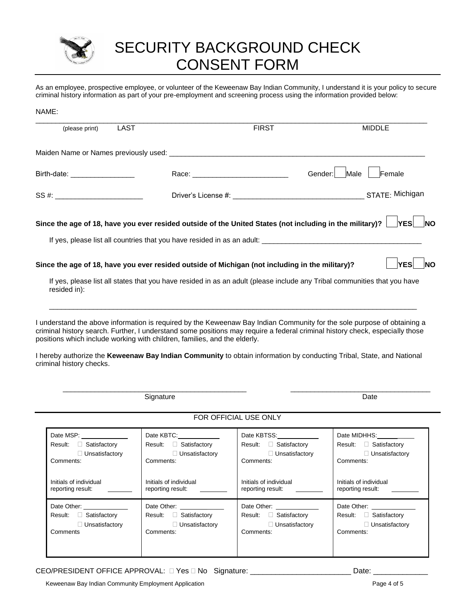

# SECURITY BACKGROUND CHECK CONSENT FORM

As an employee, prospective employee, or volunteer of the Keweenaw Bay Indian Community, I understand it is your policy to secure criminal history information as part of your pre-employment and screening process using the information provided below:

| NAME:                                                                   |                                                                            |                                                                                                 |                                                                                                                                                                                                                                                         |
|-------------------------------------------------------------------------|----------------------------------------------------------------------------|-------------------------------------------------------------------------------------------------|---------------------------------------------------------------------------------------------------------------------------------------------------------------------------------------------------------------------------------------------------------|
| (please print)                                                          | <b>LAST</b>                                                                | <b>FIRST</b>                                                                                    | <b>MIDDLE</b>                                                                                                                                                                                                                                           |
|                                                                         |                                                                            |                                                                                                 |                                                                                                                                                                                                                                                         |
| Birth-date: __________________                                          |                                                                            |                                                                                                 | Male<br>Gender:<br>Female                                                                                                                                                                                                                               |
| SS #: _______ _________________                                         |                                                                            |                                                                                                 |                                                                                                                                                                                                                                                         |
|                                                                         |                                                                            |                                                                                                 | Since the age of 18, have you ever resided outside of the United States (not including in the military)? $\Box$ YES $\Box$<br><b>NO</b>                                                                                                                 |
|                                                                         |                                                                            |                                                                                                 |                                                                                                                                                                                                                                                         |
|                                                                         |                                                                            | Since the age of 18, have you ever resided outside of Michigan (not including in the military)? | <b>YES</b><br><b>NO</b>                                                                                                                                                                                                                                 |
| resided in):                                                            |                                                                            |                                                                                                 | If yes, please list all states that you have resided in as an adult (please include any Tribal communities that you have                                                                                                                                |
|                                                                         | positions which include working with children, families, and the elderly.  |                                                                                                 | I understand the above information is required by the Keweenaw Bay Indian Community for the sole purpose of obtaining a<br>criminal history search. Further, I understand some positions may require a federal criminal history check, especially those |
| criminal history checks.                                                |                                                                            |                                                                                                 | I hereby authorize the Keweenaw Bay Indian Community to obtain information by conducting Tribal, State, and National                                                                                                                                    |
|                                                                         | Signature                                                                  |                                                                                                 | Date                                                                                                                                                                                                                                                    |
|                                                                         |                                                                            | FOR OFFICIAL USE ONLY                                                                           |                                                                                                                                                                                                                                                         |
| Date MSP:<br>Result: Satisfactory<br>$\Box$ Unsatisfactory<br>Comments: | Date KBTC:<br>Result: □ Satisfactory<br>$\Box$ Unsatisfactory<br>Comments: | Date KBTSS:<br>Result: □ Satisfactory<br>$\Box$ Unsatisfactory<br>Comments:                     | Date MIDHHS:<br>Result: Satisfactory<br>$\Box$ Unsatisfactory<br>Comments:                                                                                                                                                                              |
| Initials of individual                                                  | Initials of individual                                                     | Initials of individual                                                                          | Initials of individual                                                                                                                                                                                                                                  |

reporting result:

Result: **D** Satisfactory

Unsatisfactory

Date Other:

Comments:

CEO/PRESIDENT OFFICE APPROVAL:  $\Box$  Yes  $\Box$  No Signature: \_\_\_\_\_\_\_\_\_\_\_\_\_\_\_\_\_\_\_\_\_\_\_\_\_\_\_\_\_\_\_\_Date: \_

reporting result:

Result: **D** Satisfactory

Unsatisfactory

Date Other:

Comments:

reporting result:

Result: **D** Satisfactory

Date Other:

Comments:

Keweenaw Bay Indian Community Employment Application **Page 4 of 5** and 2008 and 2011 11 and 2011 12 and 2011 12 and 2012 12 and 2012 12 and 2012 12 and 2012 12 and 2012 12 and 2012 12 and 2012 12 and 2012 12 and 2012 12 an

reporting result:

Result: **C** Satisfactory

□ Unsatisfactory

Date Other:

**Comments** 

Unsatisfactory